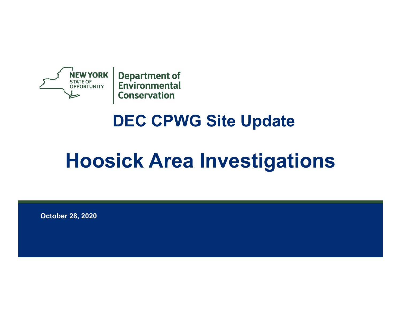

## **DEC CPWG Site Update**

# **Hoosick Area Investigations**

**October 28, 2020**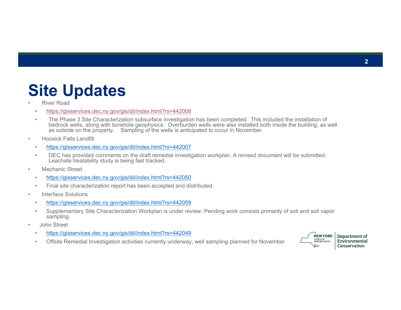#### **Site Updates**

- • River Road
	- •https://gisservices.dec.ny.gov/gis/dil/index.html?rs=442008
	- • The Phase 3 Site Characterization subsurface investigation has been completed. This included the installation of bedrock wells, along with borehole geophysics. Overburden wells were also installed both inside the building, as well as outside on the property. Sampling of the wells is anticipated to occur in November.
- • Hoosick Falls Landfill
	- •https://gisservices.dec.ny.gov/gis/dil/index.html?rs=442007
	- • DEC has provided comments on the draft remedial investigation workplan. A revised document will be submitted. Leachate treatability study is being fast tracked.
- • Mechanic Street
	- •https://gisservices.dec.ny.gov/gis/dil/index.html?rs=442050
	- •Final site characterization report has been accepted and distributed.
- • Interface Solutions
	- •https://gisservices.dec.ny.gov/gis/dil/index.html?rs=442059
	- • Supplementary Site Characterization Workplan is under review. Pending work consists primarily of soil and soil vapor sampling.
- • John Street
	- •https://gisservices.dec.ny.gov/gis/dil/index.html?rs=442049
	- •Offsite Remedial Investigation activities currently underway, well sampling planned for November

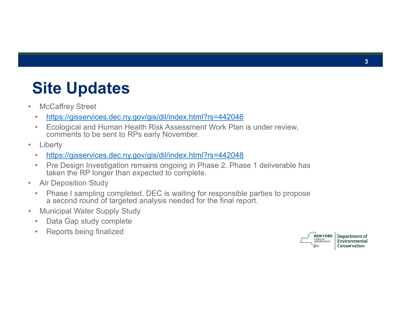## **Site Updates**

- • McCaffrey Street
	- •https://gisservices.dec.ny.gov/gis/dil/index.html?rs=442046
	- • Ecological and Human Health Risk Assessment Work Plan is under review, comments to be sent to RPs early November.
- •**Liberty** 
	- •https://gisservices.dec.ny.gov/gis/dil/index.html?rs=442048
	- • Pre Design Investigation remains ongoing in Phase 2. Phase 1 deliverable has taken the RP longer than expected to complete.
- • Air Deposition Study
	- $\bullet$  Phase I sampling completed, DEC is waiting for responsible parties to propose a second round of targeted analysis needed for the final report.
- • Municipal Water Supply Study
	- •Data Gap study complete
	- •Reports being finalized